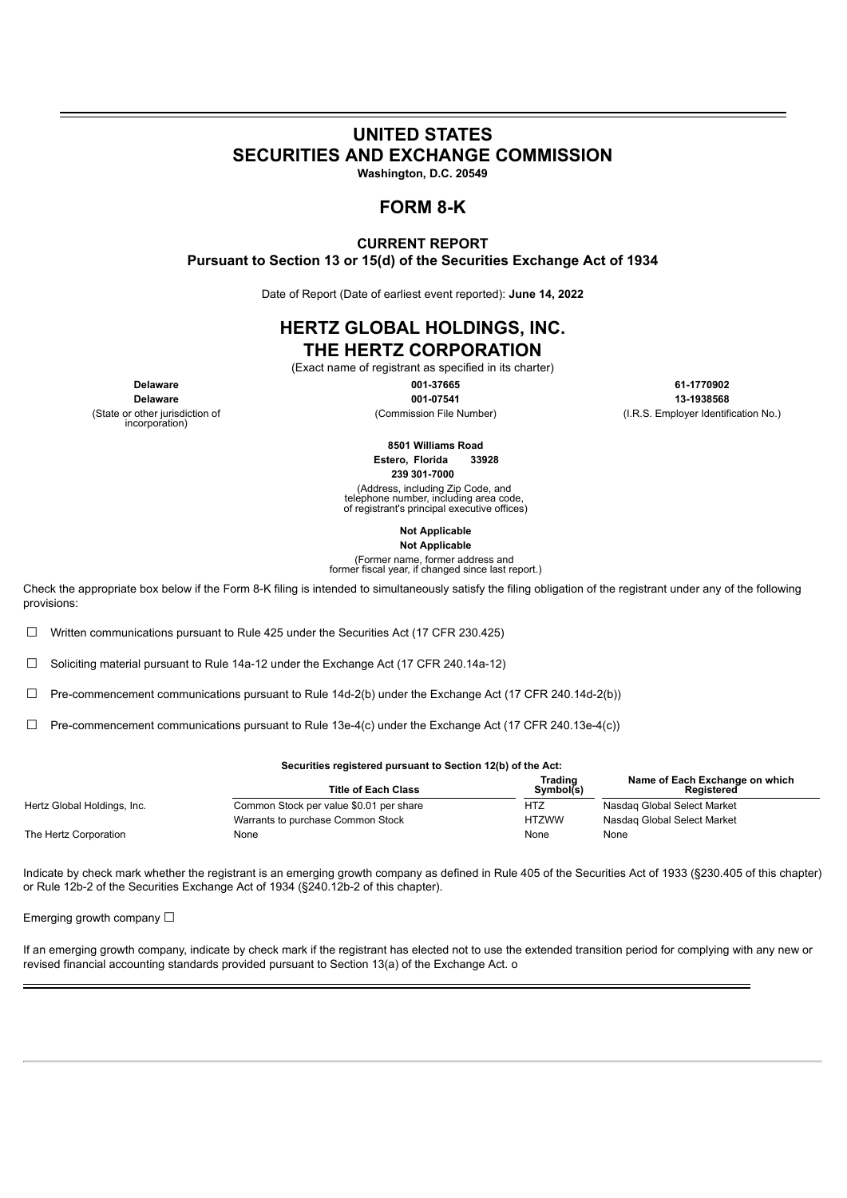# **UNITED STATES SECURITIES AND EXCHANGE COMMISSION**

**Washington, D.C. 20549**

## **FORM 8-K**

#### **CURRENT REPORT Pursuant to Section 13 or 15(d) of the Securities Exchange Act of 1934**

Date of Report (Date of earliest event reported): **June 14, 2022**

## **HERTZ GLOBAL HOLDINGS, INC. THE HERTZ CORPORATION**

(Exact name of registrant as specified in its charter)

(State or other jurisdiction of incorporation)

**Delaware 001-07541 13-1938568**

**Delaware 001-37665 61-1770902** (Commission File Number) (I.R.S. Employer Identification No.)

> **8501 Williams Road Estero, Florida 33928**

**239 301-7000**

(Address, including Zip Code, and telephone number, including area code, of registrant's principal executive offices)

> **Not Applicable Not Applicable**

(Former name, former address and former fiscal year, if changed since last report.)

Check the appropriate box below if the Form 8-K filing is intended to simultaneously satisfy the filing obligation of the registrant under any of the following provisions:

☐ Written communications pursuant to Rule 425 under the Securities Act (17 CFR 230.425)

☐ Soliciting material pursuant to Rule 14a-12 under the Exchange Act (17 CFR 240.14a-12)

 $\Box$  Pre-commencement communications pursuant to Rule 14d-2(b) under the Exchange Act (17 CFR 240.14d-2(b))

 $\Box$  Pre-commencement communications pursuant to Rule 13e-4(c) under the Exchange Act (17 CFR 240.13e-4(c))

#### **Securities registered pursuant to Section 12(b) of the Act:**

|                             | <b>Title of Each Class</b>              | Trading<br>Symbol(s) | Name of Each Exchange on which<br><b>Registered</b> |
|-----------------------------|-----------------------------------------|----------------------|-----------------------------------------------------|
| Hertz Global Holdings, Inc. | Common Stock per value \$0.01 per share | HTZ                  | Nasdag Global Select Market                         |
|                             | Warrants to purchase Common Stock       | <b>HTZWW</b>         | Nasdag Global Select Market                         |
| The Hertz Corporation       | None                                    | None                 | None                                                |

Indicate by check mark whether the registrant is an emerging growth company as defined in Rule 405 of the Securities Act of 1933 (§230.405 of this chapter) or Rule 12b-2 of the Securities Exchange Act of 1934 (§240.12b-2 of this chapter).

Emerging growth company  $\Box$ 

If an emerging growth company, indicate by check mark if the registrant has elected not to use the extended transition period for complying with any new or revised financial accounting standards provided pursuant to Section 13(a) of the Exchange Act. o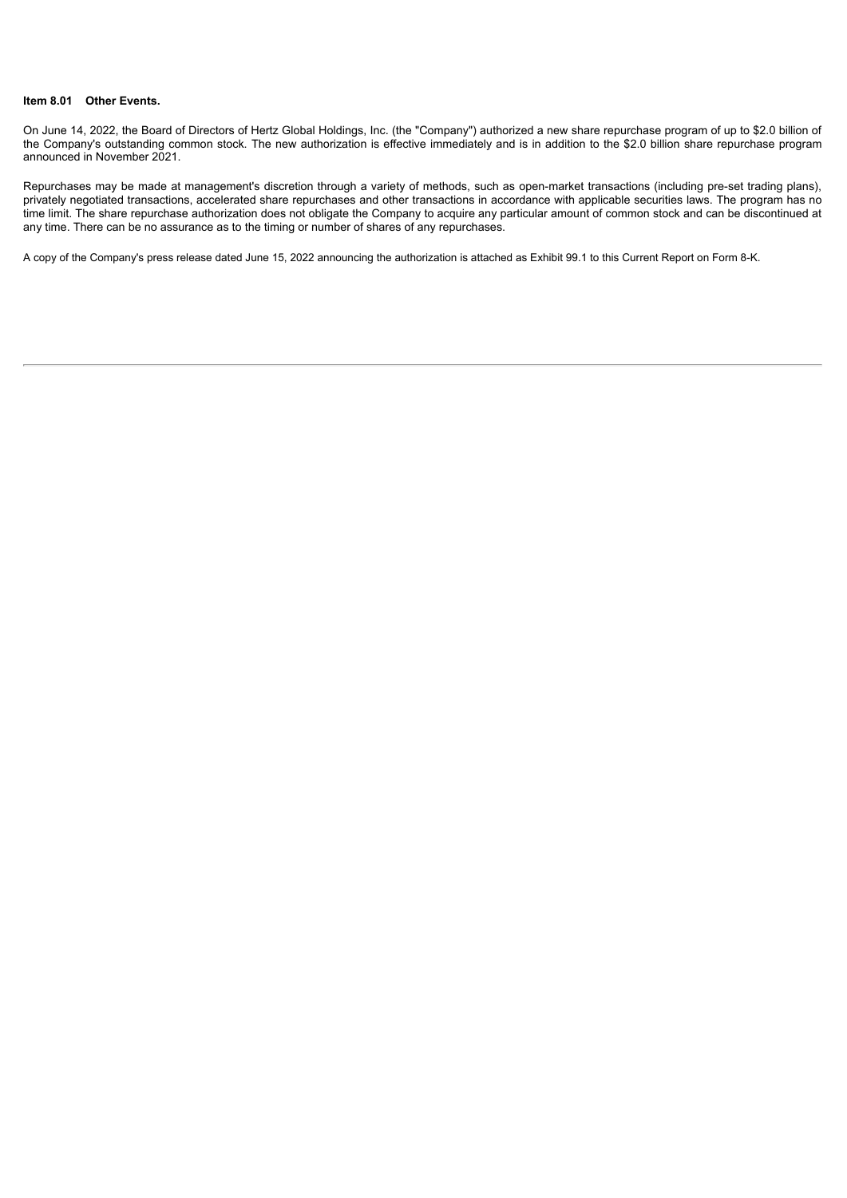#### **Item 8.01 Other Events.**

On June 14, 2022, the Board of Directors of Hertz Global Holdings, Inc. (the "Company") authorized a new share repurchase program of up to \$2.0 billion of the Company's outstanding common stock. The new authorization is effective immediately and is in addition to the \$2.0 billion share repurchase program announced in November 2021.

Repurchases may be made at management's discretion through a variety of methods, such as open-market transactions (including pre-set trading plans), privately negotiated transactions, accelerated share repurchases and other transactions in accordance with applicable securities laws. The program has no time limit. The share repurchase authorization does not obligate the Company to acquire any particular amount of common stock and can be discontinued at any time. There can be no assurance as to the timing or number of shares of any repurchases.

A copy of the Company's press release dated June 15, 2022 announcing the authorization is attached as Exhibit 99.1 to this Current Report on Form 8-K.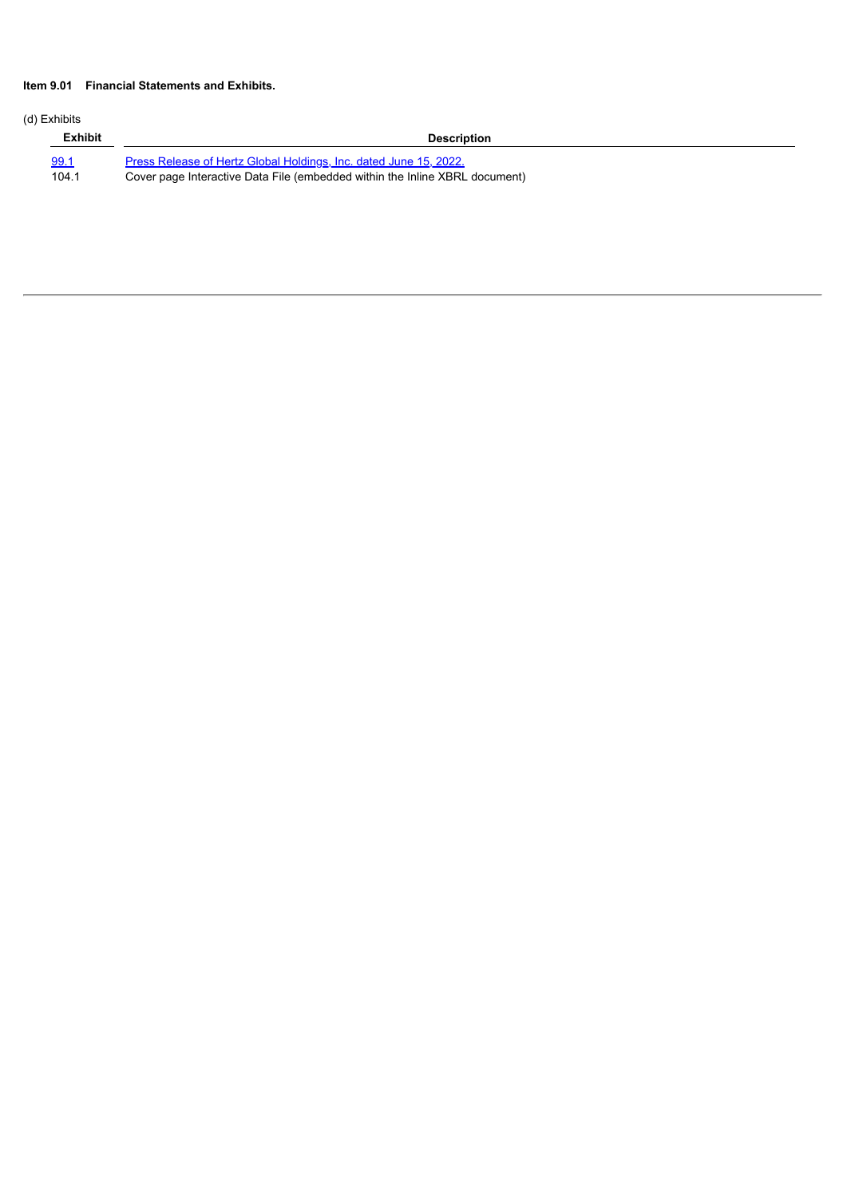## **Item 9.01 Financial Statements and Exhibits.**

## (d) Exhibits

| <b>Exhibit</b> | <b>Description</b>                                                          |
|----------------|-----------------------------------------------------------------------------|
| <u>99.1</u>    | Press Release of Hertz Global Holdings, Inc. dated June 15, 2022.           |
| 104.1          | Cover page Interactive Data File (embedded within the Inline XBRL document) |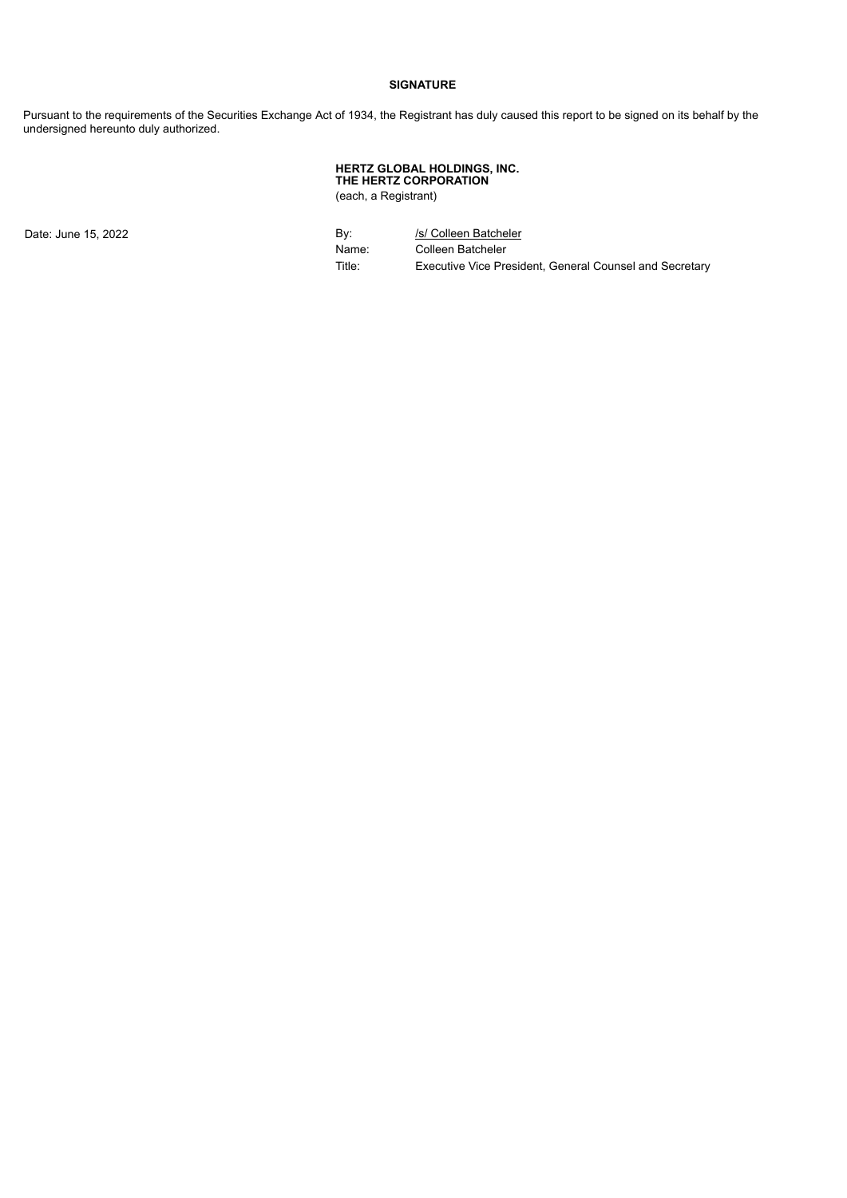#### **SIGNATURE**

Pursuant to the requirements of the Securities Exchange Act of 1934, the Registrant has duly caused this report to be signed on its behalf by the undersigned hereunto duly authorized.

#### **HERTZ GLOBAL HOLDINGS, INC. THE HERTZ CORPORATION** (each, a Registrant)

Date: June 15, 2022 **By:** By: *Isl* Colleen Batcheler Name: Colleen Batcheler<br>Title: Executive Vice Pre Executive Vice President, General Counsel and Secretary